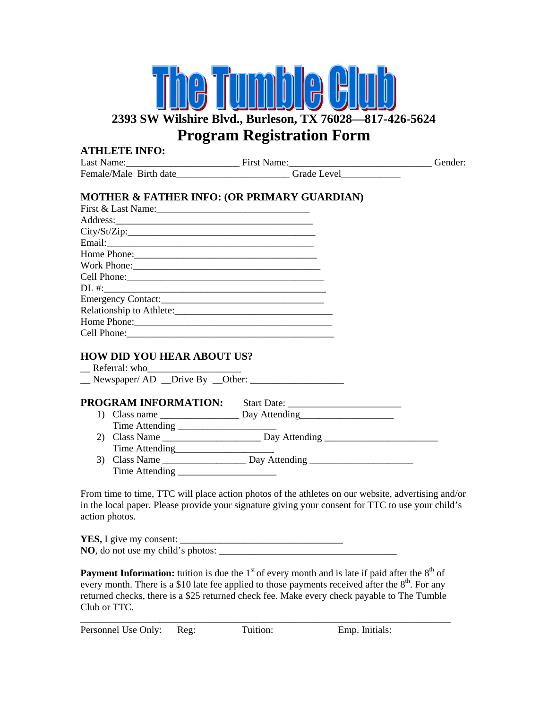## $\mathbf{L}$ **2393 SW Wilshire Blvd., Burleson, TX 76028—817-426-5624 Program Registration Form**

| <b>ATHLETE INFO:</b>                                                             |         |
|----------------------------------------------------------------------------------|---------|
|                                                                                  | Gender: |
| Female/Male Birth date___________________________Grade Level____________________ |         |
| <b>MOTHER &amp; FATHER INFO: (OR PRIMARY GUARDIAN)</b>                           |         |
|                                                                                  |         |
| City/St/Zip:                                                                     |         |
|                                                                                  |         |
|                                                                                  |         |
|                                                                                  |         |
|                                                                                  |         |
|                                                                                  |         |
|                                                                                  |         |
|                                                                                  |         |
|                                                                                  |         |
|                                                                                  |         |
| <b>HOW DID YOU HEAR ABOUT US?</b>                                                |         |
| $\angle$ Referral: who $\angle$                                                  |         |
|                                                                                  |         |
|                                                                                  |         |
|                                                                                  |         |
|                                                                                  |         |
|                                                                                  |         |
|                                                                                  |         |
|                                                                                  |         |
|                                                                                  |         |
|                                                                                  |         |
|                                                                                  |         |

From time to time, TTC will place action photos of the athletes on our website, advertising and/or in the local paper. Please provide your signature giving your consent for TTC to use your child's action photos.

| <b>YES,</b> I give my consent:            |  |
|-------------------------------------------|--|
| <b>NO</b> , do not use my child's photos: |  |

**Payment Information:** tuition is due the 1<sup>st</sup> of every month and is late if paid after the 8<sup>th</sup> of every month. There is a \$10 late fee applied to those payments received after the  $8<sup>th</sup>$ . For any returned checks, there is a \$25 returned check fee. Make every check payable to The Tumble Club or TTC.

Personnel Use Only: Reg: Tuition: Emp. Initials: